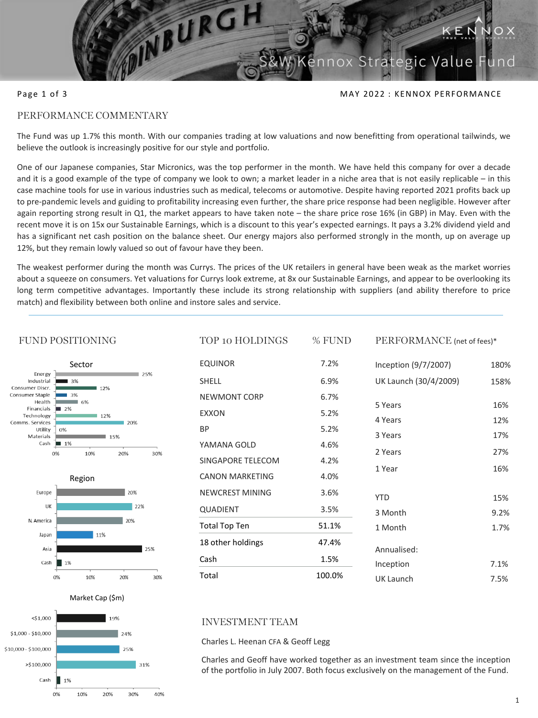

## Page 1 of 3 MAY 2022 : KENNOX PERFORMANCE

PERFORMANCE (net of fees)\*

# PERFORMANCE COMMENTARY

The Fund was up 1.7% this month. With our companies trading at low valuations and now benefitting from operational tailwinds, we believe the outlook is increasingly positive for our style and portfolio.

One of our Japanese companies, Star Micronics, was the top performer in the month. We have held this company for over a decade and it is a good example of the type of company we look to own; a market leader in a niche area that is not easily replicable – in this case machine tools for use in various industries such as medical, telecoms or automotive. Despite having reported 2021 profits back up to pre-pandemic levels and guiding to profitability increasing even further, the share price response had been negligible. However after again reporting strong result in Q1, the market appears to have taken note – the share price rose 16% (in GBP) in May. Even with the recent move it is on 15x our Sustainable Earnings, which is a discount to this year's expected earnings. It pays a 3.2% dividend yield and has a significant net cash position on the balance sheet. Our energy majors also performed strongly in the month, up on average up 12%, but they remain lowly valued so out of favour have they been.

The weakest performer during the month was Currys. The prices of the UK retailers in general have been weak as the market worries about a squeeze on consumers. Yet valuations for Currys look extreme, at 8x our Sustainable Earnings, and appear to be overlooking its long term competitive advantages. Importantly these include its strong relationship with suppliers (and ability therefore to price match) and flexibility between both online and instore sales and service.

TOP 10 HOLDINGS 6/ EUNID

#### FUND POSITIONING Sector Energy  $125%$ Industrial 3% Consumer Discr. 12% Consumer Staple 3% Health 6% Financials  $12%$ Technology  $12%$ Comms. Services 20% Utility  $0%$ Materials 15% Cash  $\blacksquare$  1%  $\Omega\%$  $10%$ 20% 30% Region

| Europe     |    |     | 20% |     |
|------------|----|-----|-----|-----|
| UK         |    |     | 22% |     |
| N. America |    |     | 20% |     |
| Japan      |    | 11% |     |     |
| Asia       |    |     |     | 25% |
| Cash       | 1% |     |     |     |
|            | 0% | 10% | 20% | 30% |



| IOF 10 HOLDINGS        | % FUND | PERFURMANCE (net of fees)* |      |
|------------------------|--------|----------------------------|------|
| <b>EQUINOR</b>         | 7.2%   | Inception (9/7/2007)       | 180% |
| <b>SHELL</b>           | 6.9%   | UK Launch (30/4/2009)      | 158% |
| NEWMONT CORP           | 6.7%   | 5 Years                    | 16%  |
| <b>EXXON</b>           | 5.2%   |                            |      |
| ВP                     | 5.2%   | 4 Years                    | 12%  |
| YAMANA GOLD            | 4.6%   | 3 Years                    | 17%  |
| SINGAPORE TELECOM      | 4.2%   | 2 Years                    | 27%  |
| <b>CANON MARKETING</b> | 4.0%   | 1 Year                     | 16%  |
| NEWCREST MINING        | 3.6%   | <b>YTD</b>                 | 15%  |
| <b>QUADIENT</b>        | 3.5%   | 3 Month                    | 9.2% |
| Total Top Ten          | 51.1%  | 1 Month                    | 1.7% |
| 18 other holdings      | 47.4%  | Annualised:                |      |
| Cash                   | 1.5%   | Inception                  | 7.1% |
| Total                  | 100.0% |                            |      |
|                        |        | UK Launch                  | 7.5% |

## INVESTMENT TEAM

Charles L. Heenan CFA & Geoff Legg

Charles and Geoff have worked together as an investment team since the inception of the portfolio in July 2007. Both focus exclusively on the management of the Fund.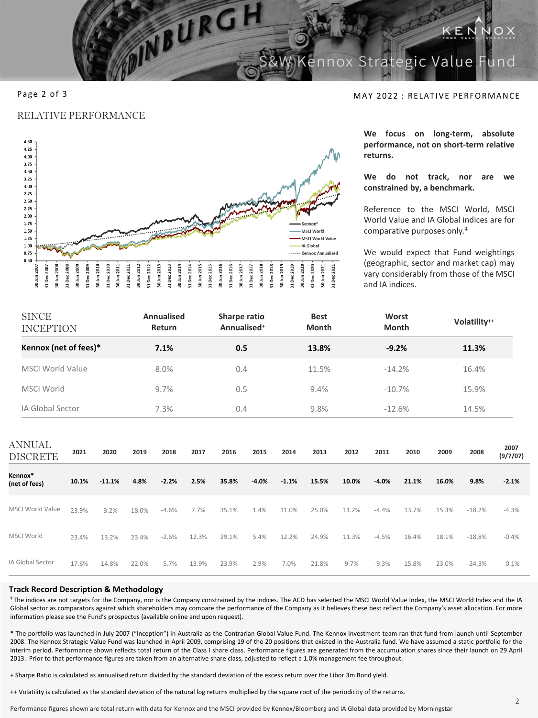**Strategic Value** 

## RELATIVE PERFORMANCE



INBURGH

Page 2 of 3 MAY 2022 : RELATIVE PERFORMANCE

**We focus on long-term, absolute performance, not on short-term relative returns.**

**We do not track, nor are we constrained by, a benchmark.**

Reference to the MSCI World, MSCI World Value and IA Global indices are for comparative purposes only. ‡

We would expect that Fund weightings (geographic, sector and market cap) may vary considerably from those of the MSCI and IA indices.

| <b>SINCE</b><br><b>INCEPTION</b> |       |          |       | <b>Annualised</b><br>Return |       | Sharpe ratio<br>Annualised <sup>+</sup> |         |         | <b>Best</b><br>Month |       | Worst   | Month    |       | Volatility <sup>++</sup> |                  |
|----------------------------------|-------|----------|-------|-----------------------------|-------|-----------------------------------------|---------|---------|----------------------|-------|---------|----------|-------|--------------------------|------------------|
| Kennox (net of fees)*            |       |          |       | 7.1%                        |       | 0.5                                     |         |         | 13.8%                |       | $-9.2%$ |          |       | 11.3%                    |                  |
| <b>MSCI World Value</b>          |       |          |       | 8.0%                        |       | 0.4                                     |         |         | 11.5%                |       |         | $-14.2%$ |       | 16.4%                    |                  |
| MSCI World                       |       |          |       | 9.7%                        |       | 0.5                                     |         |         | 9.4%                 |       |         | $-10.7%$ |       | 15.9%                    |                  |
| IA Global Sector                 |       |          |       | 7.3%                        |       | 0.4                                     |         |         | 9.8%                 |       |         | $-12.6%$ |       | 14.5%                    |                  |
| <b>ANNUAL</b><br><b>DISCRETE</b> | 2021  | 2020     | 2019  | 2018                        | 2017  | 2016                                    | 2015    | 2014    | 2013                 | 2012  | 2011    | 2010     | 2009  | 2008                     | 2007<br>(9/7/07) |
| Kennox*<br>(net of fees)         | 10.1% | $-11.1%$ | 4.8%  | $-2.2%$                     | 2.5%  | 35.8%                                   | $-4.0%$ | $-1.1%$ | 15.5%                | 10.0% | $-4.0%$ | 21.1%    | 16.0% | 9.8%                     | $-2.1%$          |
| <b>MSCI World Value</b>          | 23.9% | $-3.2%$  | 18.0% | $-4.6%$                     | 7.7%  | 35.1%                                   | 1.4%    | 11.0%   | 25.0%                | 11.2% | $-4.4%$ | 13.7%    | 15.3% | $-18.2%$                 | $-4.3%$          |
| MSCI World                       | 23.4% | 13.2%    | 23.4% | $-2.6%$                     | 12.3% | 29.1%                                   | 5.4%    | 12.2%   | 24.9%                | 11.3% | $-4.5%$ | 16.4%    | 18.1% | $-18.8%$                 | $-0.4%$          |
| IA Global Sector                 | 17.6% | 14.8%    | 22.0% | $-5.7%$                     | 13.9% | 23.9%                                   | 2.9%    | 7.0%    | 21.8%                | 9.7%  | $-9.3%$ | 15.8%    | 23.0% | $-24.3%$                 | $-0.1%$          |

### **Track Record Description & Methodology**

‡ The indices are not targets for the Company, nor is the Company constrained by the indices. The ACD has selected the MSCI World Value Index, the MSCI World Index and the IA Global sector as comparators against which shareholders may compare the performance of the Company as it believes these best reflect the Company's asset allocation. For more information please see the Fund's prospectus (available online and upon request).

\* The portfolio was launched in July 2007 ("Inception") in Australia as the Contrarian Global Value Fund. The Kennox investment team ran that fund from launch until September 2008. The Kennox Strategic Value Fund was launched in April 2009, comprising 19 of the 20 positions that existed in the Australia fund. We have assumed a static portfolio for the interim period. Performance shown reflects total return of the Class I share class. Performance figures are generated from the accumulation shares since their launch on 29 April 2013. Prior to that performance figures are taken from an alternative share class, adjusted to reflect a 1.0% management fee throughout.

+ Sharpe Ratio is calculated as annualised return divided by the standard deviation of the excess return over the Libor 3m Bond yield.

++ Volatility is calculated as the standard deviation of the natural log returns multiplied by the square root of the periodicity of the returns.